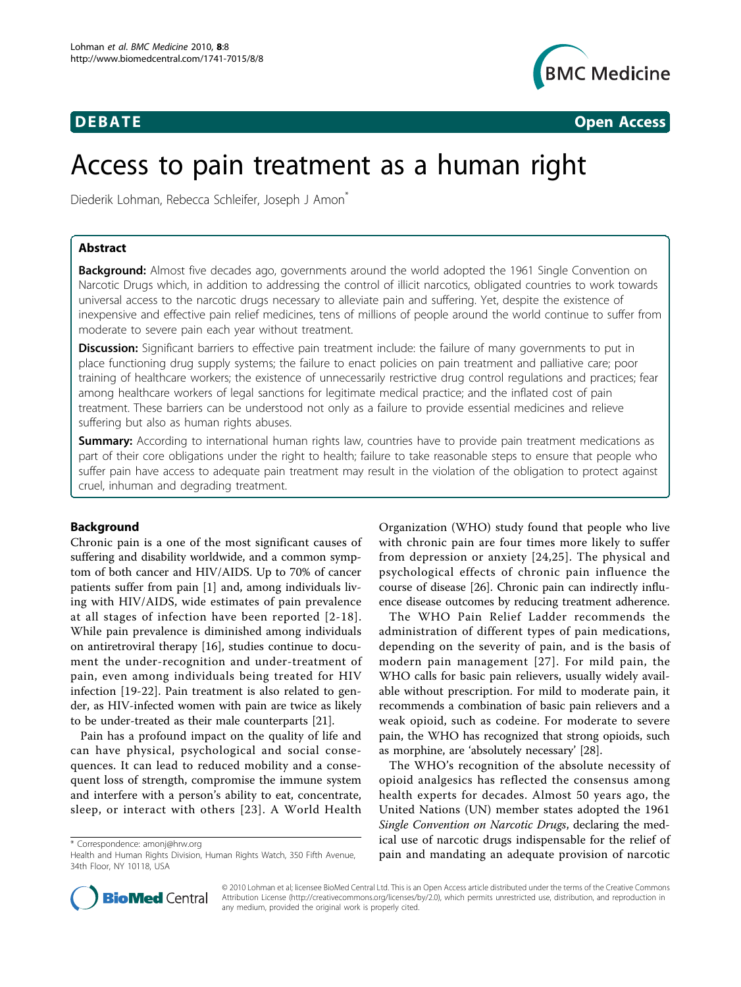

**DEBATE CONSIDERED ACCESS Open Access** 

# Access to pain treatment as a human right

Diederik Lohman, Rebecca Schleifer, Joseph J Amon<sup>®</sup>

# Abstract

Background: Almost five decades ago, governments around the world adopted the 1961 Single Convention on Narcotic Drugs which, in addition to addressing the control of illicit narcotics, obligated countries to work towards universal access to the narcotic drugs necessary to alleviate pain and suffering. Yet, despite the existence of inexpensive and effective pain relief medicines, tens of millions of people around the world continue to suffer from moderate to severe pain each year without treatment.

Discussion: Significant barriers to effective pain treatment include: the failure of many governments to put in place functioning drug supply systems; the failure to enact policies on pain treatment and palliative care; poor training of healthcare workers; the existence of unnecessarily restrictive drug control regulations and practices; fear among healthcare workers of legal sanctions for legitimate medical practice; and the inflated cost of pain treatment. These barriers can be understood not only as a failure to provide essential medicines and relieve suffering but also as human rights abuses.

**Summary:** According to international human rights law, countries have to provide pain treatment medications as part of their core obligations under the right to health; failure to take reasonable steps to ensure that people who suffer pain have access to adequate pain treatment may result in the violation of the obligation to protect against cruel, inhuman and degrading treatment.

# Background

Chronic pain is a one of the most significant causes of suffering and disability worldwide, and a common symptom of both cancer and HIV/AIDS. Up to 70% of cancer patients suffer from pain [\[1](#page-7-0)] and, among individuals living with HIV/AIDS, wide estimates of pain prevalence at all stages of infection have been reported [[2](#page-7-0)-[18\]](#page-7-0). While pain prevalence is diminished among individuals on antiretroviral therapy [\[16](#page-7-0)], studies continue to document the under-recognition and under-treatment of pain, even among individuals being treated for HIV infection [\[19](#page-7-0)-[22\]](#page-7-0). Pain treatment is also related to gender, as HIV-infected women with pain are twice as likely to be under-treated as their male counterparts [\[21\]](#page-7-0).

Pain has a profound impact on the quality of life and can have physical, psychological and social consequences. It can lead to reduced mobility and a consequent loss of strength, compromise the immune system and interfere with a person's ability to eat, concentrate, sleep, or interact with others [[23](#page-7-0)]. A World Health

\* Correspondence: [amonj@hrw.org](mailto:amonj@hrw.org)

Organization (WHO) study found that people who live with chronic pain are four times more likely to suffer from depression or anxiety [[24](#page-7-0),[25](#page-7-0)]. The physical and psychological effects of chronic pain influence the course of disease [\[26\]](#page-7-0). Chronic pain can indirectly influence disease outcomes by reducing treatment adherence.

The WHO Pain Relief Ladder recommends the administration of different types of pain medications, depending on the severity of pain, and is the basis of modern pain management [[27\]](#page-7-0). For mild pain, the WHO calls for basic pain relievers, usually widely available without prescription. For mild to moderate pain, it recommends a combination of basic pain relievers and a weak opioid, such as codeine. For moderate to severe pain, the WHO has recognized that strong opioids, such as morphine, are 'absolutely necessary' [\[28](#page-7-0)].

The WHO's recognition of the absolute necessity of opioid analgesics has reflected the consensus among health experts for decades. Almost 50 years ago, the United Nations (UN) member states adopted the 1961 Single Convention on Narcotic Drugs, declaring the medical use of narcotic drugs indispensable for the relief of pain and mandating an adequate provision of narcotic



© 2010 Lohman et al; licensee BioMed Central Ltd. This is an Open Access article distributed under the terms of the Creative Commons Attribution License [\(http://creativecommons.org/licenses/by/2.0](http://creativecommons.org/licenses/by/2.0)), which permits unrestricted use, distribution, and reproduction in any medium, provided the original work is properly cited.

Health and Human Rights Division, Human Rights Watch, 350 Fifth Avenue, 34th Floor, NY 10118, USA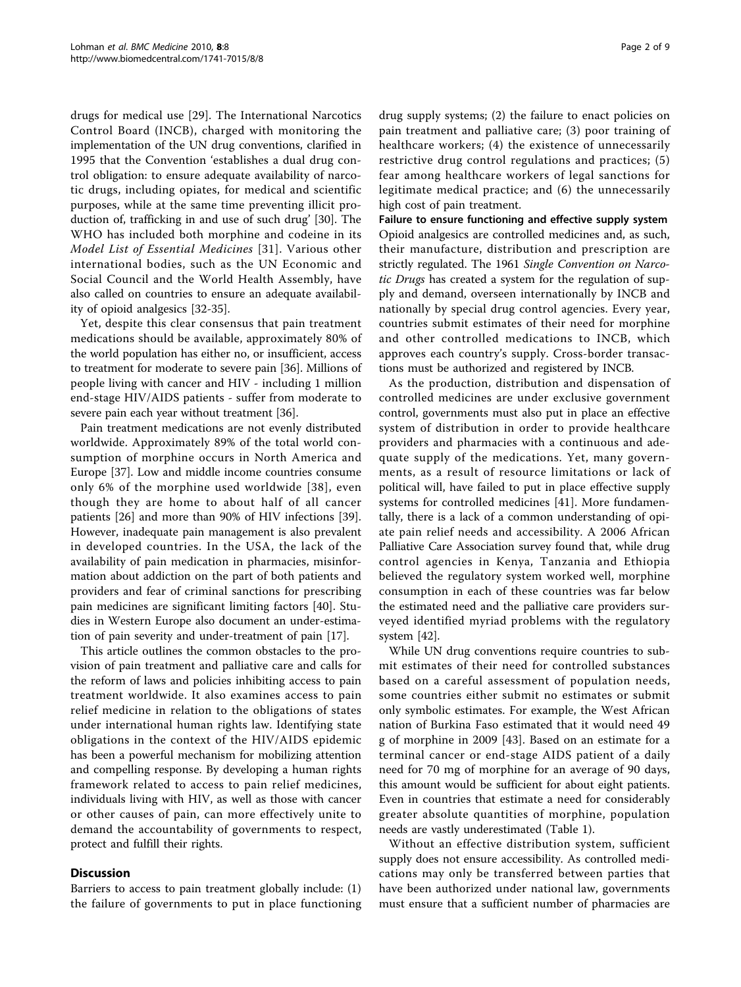drugs for medical use [[29\]](#page-7-0). The International Narcotics Control Board (INCB), charged with monitoring the implementation of the UN drug conventions, clarified in 1995 that the Convention 'establishes a dual drug control obligation: to ensure adequate availability of narcotic drugs, including opiates, for medical and scientific purposes, while at the same time preventing illicit production of, trafficking in and use of such drug' [[30\]](#page-7-0). The WHO has included both morphine and codeine in its Model List of Essential Medicines [[31](#page-7-0)]. Various other international bodies, such as the UN Economic and Social Council and the World Health Assembly, have also called on countries to ensure an adequate availability of opioid analgesics [[32](#page-7-0)-[35\]](#page-7-0).

Yet, despite this clear consensus that pain treatment medications should be available, approximately 80% of the world population has either no, or insufficient, access to treatment for moderate to severe pain [\[36](#page-7-0)]. Millions of people living with cancer and HIV - including 1 million end-stage HIV/AIDS patients - suffer from moderate to severe pain each year without treatment [\[36\]](#page-7-0).

Pain treatment medications are not evenly distributed worldwide. Approximately 89% of the total world consumption of morphine occurs in North America and Europe [\[37\]](#page-7-0). Low and middle income countries consume only 6% of the morphine used worldwide [[38\]](#page-7-0), even though they are home to about half of all cancer patients [\[26](#page-7-0)] and more than 90% of HIV infections [\[39](#page-7-0)]. However, inadequate pain management is also prevalent in developed countries. In the USA, the lack of the availability of pain medication in pharmacies, misinformation about addiction on the part of both patients and providers and fear of criminal sanctions for prescribing pain medicines are significant limiting factors [[40](#page-7-0)]. Studies in Western Europe also document an under-estimation of pain severity and under-treatment of pain [[17\]](#page-7-0).

This article outlines the common obstacles to the provision of pain treatment and palliative care and calls for the reform of laws and policies inhibiting access to pain treatment worldwide. It also examines access to pain relief medicine in relation to the obligations of states under international human rights law. Identifying state obligations in the context of the HIV/AIDS epidemic has been a powerful mechanism for mobilizing attention and compelling response. By developing a human rights framework related to access to pain relief medicines, individuals living with HIV, as well as those with cancer or other causes of pain, can more effectively unite to demand the accountability of governments to respect, protect and fulfill their rights.

# **Discussion**

Barriers to access to pain treatment globally include: (1) the failure of governments to put in place functioning

drug supply systems; (2) the failure to enact policies on pain treatment and palliative care; (3) poor training of healthcare workers; (4) the existence of unnecessarily restrictive drug control regulations and practices; (5) fear among healthcare workers of legal sanctions for legitimate medical practice; and (6) the unnecessarily high cost of pain treatment.

Failure to ensure functioning and effective supply system Opioid analgesics are controlled medicines and, as such, their manufacture, distribution and prescription are strictly regulated. The 1961 Single Convention on Narcotic Drugs has created a system for the regulation of supply and demand, overseen internationally by INCB and nationally by special drug control agencies. Every year, countries submit estimates of their need for morphine and other controlled medications to INCB, which approves each country's supply. Cross-border transactions must be authorized and registered by INCB.

As the production, distribution and dispensation of controlled medicines are under exclusive government control, governments must also put in place an effective system of distribution in order to provide healthcare providers and pharmacies with a continuous and adequate supply of the medications. Yet, many governments, as a result of resource limitations or lack of political will, have failed to put in place effective supply systems for controlled medicines [[41\]](#page-7-0). More fundamentally, there is a lack of a common understanding of opiate pain relief needs and accessibility. A 2006 African Palliative Care Association survey found that, while drug control agencies in Kenya, Tanzania and Ethiopia believed the regulatory system worked well, morphine consumption in each of these countries was far below the estimated need and the palliative care providers surveyed identified myriad problems with the regulatory system [[42](#page-7-0)].

While UN drug conventions require countries to submit estimates of their need for controlled substances based on a careful assessment of population needs, some countries either submit no estimates or submit only symbolic estimates. For example, the West African nation of Burkina Faso estimated that it would need 49 g of morphine in 2009 [[43\]](#page-7-0). Based on an estimate for a terminal cancer or end-stage AIDS patient of a daily need for 70 mg of morphine for an average of 90 days, this amount would be sufficient for about eight patients. Even in countries that estimate a need for considerably greater absolute quantities of morphine, population needs are vastly underestimated (Table [1\)](#page-2-0).

Without an effective distribution system, sufficient supply does not ensure accessibility. As controlled medications may only be transferred between parties that have been authorized under national law, governments must ensure that a sufficient number of pharmacies are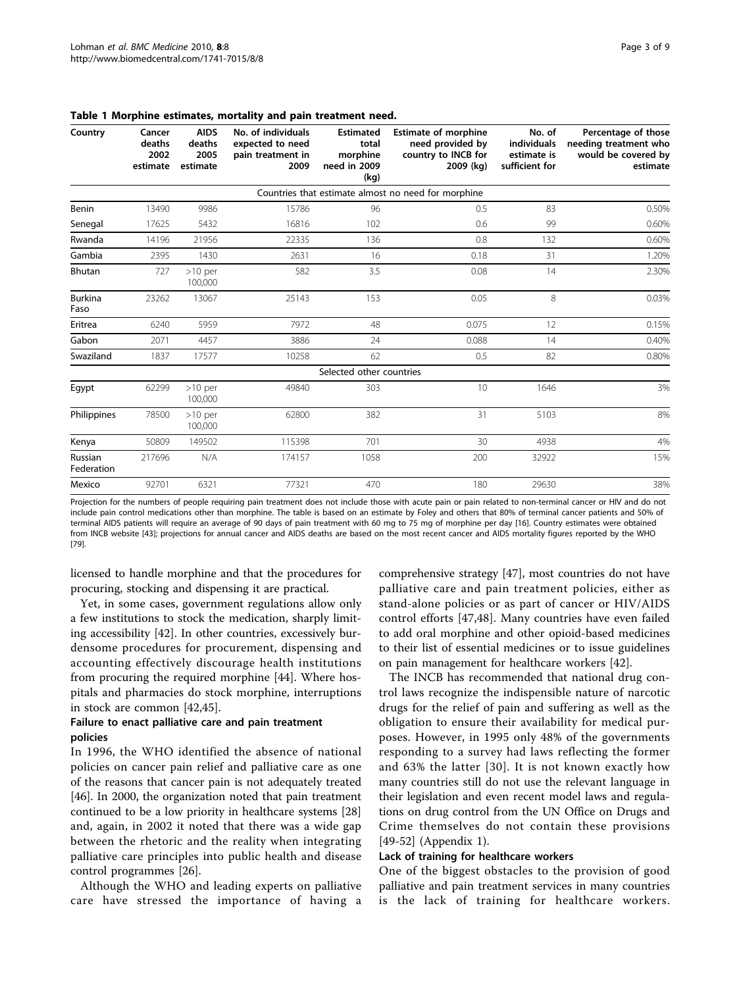| Country                | Cancer<br>deaths<br>2002<br>estimate | <b>AIDS</b><br>deaths<br>2005<br>estimate | No. of individuals<br>expected to need<br>pain treatment in<br>2009 | <b>Estimated</b><br>total<br>morphine<br>need in 2009<br>(kg) | <b>Estimate of morphine</b><br>need provided by<br>country to INCB for<br>2009 (kg) | No. of<br>individuals<br>estimate is<br>sufficient for | Percentage of those<br>needing treatment who<br>would be covered by<br>estimate |
|------------------------|--------------------------------------|-------------------------------------------|---------------------------------------------------------------------|---------------------------------------------------------------|-------------------------------------------------------------------------------------|--------------------------------------------------------|---------------------------------------------------------------------------------|
|                        |                                      |                                           |                                                                     |                                                               | Countries that estimate almost no need for morphine                                 |                                                        |                                                                                 |
| Benin                  | 13490                                | 9986                                      | 15786                                                               | 96                                                            | 0.5                                                                                 | 83                                                     | 0.50%                                                                           |
| Senegal                | 17625                                | 5432                                      | 16816                                                               | 102                                                           | 0.6                                                                                 | 99                                                     | 0.60%                                                                           |
| Rwanda                 | 14196                                | 21956                                     | 22335                                                               | 136                                                           | 0.8                                                                                 | 132                                                    | 0.60%                                                                           |
| Gambia                 | 2395                                 | 1430                                      | 2631                                                                | 16                                                            | 0.18                                                                                | 31                                                     | 1.20%                                                                           |
| Bhutan                 | 727                                  | $>10$ per<br>100,000                      | 582                                                                 | 3.5                                                           | 0.08                                                                                | 14                                                     | 2.30%                                                                           |
| <b>Burkina</b><br>Faso | 23262                                | 13067                                     | 25143                                                               | 153                                                           | 0.05                                                                                | 8                                                      | 0.03%                                                                           |
| Eritrea                | 6240                                 | 5959                                      | 7972                                                                | 48                                                            | 0.075                                                                               | 12                                                     | 0.15%                                                                           |
| Gabon                  | 2071                                 | 4457                                      | 3886                                                                | 24                                                            | 0.088                                                                               | 14                                                     | 0.40%                                                                           |
| Swaziland              | 1837                                 | 17577                                     | 10258                                                               | 62                                                            | 0.5                                                                                 | 82                                                     | 0.80%                                                                           |
|                        |                                      |                                           |                                                                     | Selected other countries                                      |                                                                                     |                                                        |                                                                                 |
| Egypt                  | 62299                                | $>10$ per<br>100,000                      | 49840                                                               | 303                                                           | 10 <sup>°</sup>                                                                     | 1646                                                   | 3%                                                                              |
| Philippines            | 78500                                | $>10$ per<br>100,000                      | 62800                                                               | 382                                                           | 31                                                                                  | 5103                                                   | 8%                                                                              |
| Kenya                  | 50809                                | 149502                                    | 115398                                                              | 701                                                           | 30                                                                                  | 4938                                                   | 4%                                                                              |
| Russian<br>Federation  | 217696                               | N/A                                       | 174157                                                              | 1058                                                          | 200                                                                                 | 32922                                                  | 15%                                                                             |
| Mexico                 | 92701                                | 6321                                      | 77321                                                               | 470                                                           | 180                                                                                 | 29630                                                  | 38%                                                                             |

#### <span id="page-2-0"></span>Table 1 Morphine estimates, mortality and pain treatment need.

Projection for the numbers of people requiring pain treatment does not include those with acute pain or pain related to non-terminal cancer or HIV and do not include pain control medications other than morphine. The table is based on an estimate by Foley and others that 80% of terminal cancer patients and 50% of terminal AIDS patients will require an average of 90 days of pain treatment with 60 mg to 75 mg of morphine per day [\[16](#page-7-0)]. Country estimates were obtained from INCB website [\[43](#page-7-0)]; projections for annual cancer and AIDS deaths are based on the most recent cancer and AIDS mortality figures reported by the WHO [[79\]](#page-8-0).

licensed to handle morphine and that the procedures for procuring, stocking and dispensing it are practical.

Yet, in some cases, government regulations allow only a few institutions to stock the medication, sharply limiting accessibility [\[42\]](#page-7-0). In other countries, excessively burdensome procedures for procurement, dispensing and accounting effectively discourage health institutions from procuring the required morphine [\[44](#page-7-0)]. Where hospitals and pharmacies do stock morphine, interruptions in stock are common [[42](#page-7-0),[45](#page-7-0)].

# Failure to enact palliative care and pain treatment policies

In 1996, the WHO identified the absence of national policies on cancer pain relief and palliative care as one of the reasons that cancer pain is not adequately treated [[46\]](#page-7-0). In 2000, the organization noted that pain treatment continued to be a low priority in healthcare systems [[28](#page-7-0)] and, again, in 2002 it noted that there was a wide gap between the rhetoric and the reality when integrating palliative care principles into public health and disease control programmes [[26](#page-7-0)].

Although the WHO and leading experts on palliative care have stressed the importance of having a

comprehensive strategy [[47\]](#page-7-0), most countries do not have palliative care and pain treatment policies, either as stand-alone policies or as part of cancer or HIV/AIDS control efforts [\[47](#page-7-0),[48\]](#page-7-0). Many countries have even failed to add oral morphine and other opioid-based medicines to their list of essential medicines or to issue guidelines on pain management for healthcare workers [\[42](#page-7-0)].

The INCB has recommended that national drug control laws recognize the indispensible nature of narcotic drugs for the relief of pain and suffering as well as the obligation to ensure their availability for medical purposes. However, in 1995 only 48% of the governments responding to a survey had laws reflecting the former and 63% the latter [[30](#page-7-0)]. It is not known exactly how many countries still do not use the relevant language in their legislation and even recent model laws and regulations on drug control from the UN Office on Drugs and Crime themselves do not contain these provisions [[49-](#page-7-0)[52\]](#page-8-0) (Appendix 1).

#### Lack of training for healthcare workers

One of the biggest obstacles to the provision of good palliative and pain treatment services in many countries is the lack of training for healthcare workers.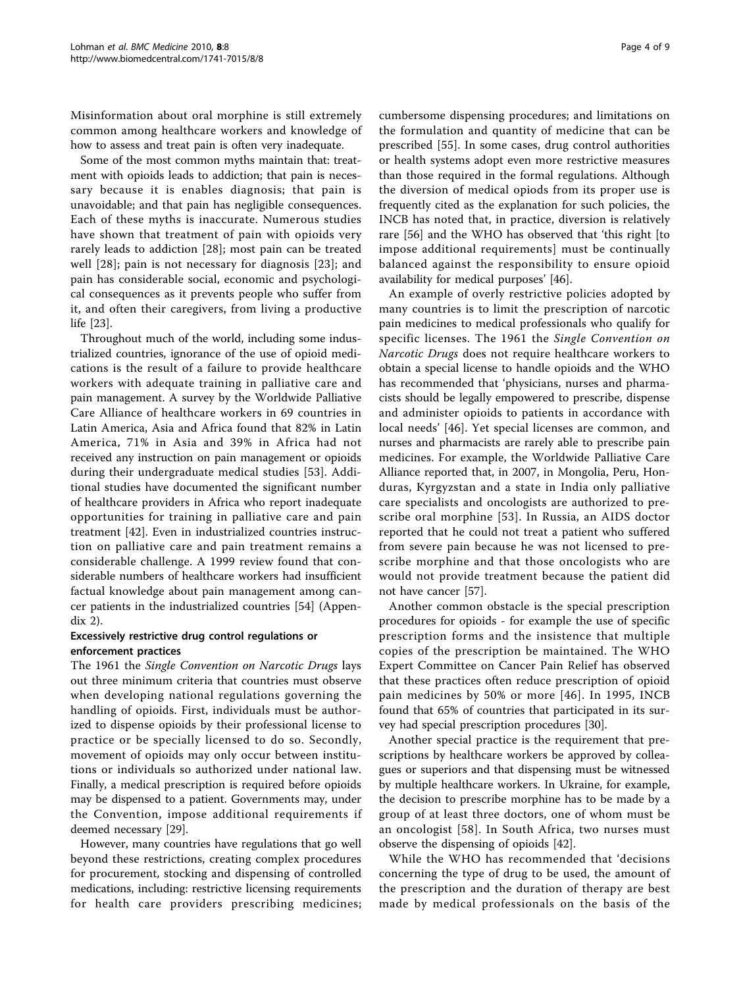Misinformation about oral morphine is still extremely common among healthcare workers and knowledge of how to assess and treat pain is often very inadequate.

Some of the most common myths maintain that: treatment with opioids leads to addiction; that pain is necessary because it is enables diagnosis; that pain is unavoidable; and that pain has negligible consequences. Each of these myths is inaccurate. Numerous studies have shown that treatment of pain with opioids very rarely leads to addiction [[28\]](#page-7-0); most pain can be treated well [[28\]](#page-7-0); pain is not necessary for diagnosis [[23\]](#page-7-0); and pain has considerable social, economic and psychological consequences as it prevents people who suffer from it, and often their caregivers, from living a productive life [\[23](#page-7-0)].

Throughout much of the world, including some industrialized countries, ignorance of the use of opioid medications is the result of a failure to provide healthcare workers with adequate training in palliative care and pain management. A survey by the Worldwide Palliative Care Alliance of healthcare workers in 69 countries in Latin America, Asia and Africa found that 82% in Latin America, 71% in Asia and 39% in Africa had not received any instruction on pain management or opioids during their undergraduate medical studies [\[53](#page-8-0)]. Additional studies have documented the significant number of healthcare providers in Africa who report inadequate opportunities for training in palliative care and pain treatment [[42\]](#page-7-0). Even in industrialized countries instruction on palliative care and pain treatment remains a considerable challenge. A 1999 review found that considerable numbers of healthcare workers had insufficient factual knowledge about pain management among cancer patients in the industrialized countries [[54\]](#page-8-0) (Appendix 2).

# Excessively restrictive drug control regulations or enforcement practices

The 1961 the Single Convention on Narcotic Drugs lays out three minimum criteria that countries must observe when developing national regulations governing the handling of opioids. First, individuals must be authorized to dispense opioids by their professional license to practice or be specially licensed to do so. Secondly, movement of opioids may only occur between institutions or individuals so authorized under national law. Finally, a medical prescription is required before opioids may be dispensed to a patient. Governments may, under the Convention, impose additional requirements if deemed necessary [\[29](#page-7-0)].

However, many countries have regulations that go well beyond these restrictions, creating complex procedures for procurement, stocking and dispensing of controlled medications, including: restrictive licensing requirements for health care providers prescribing medicines;

cumbersome dispensing procedures; and limitations on the formulation and quantity of medicine that can be prescribed [[55\]](#page-8-0). In some cases, drug control authorities or health systems adopt even more restrictive measures than those required in the formal regulations. Although the diversion of medical opiods from its proper use is frequently cited as the explanation for such policies, the INCB has noted that, in practice, diversion is relatively rare [[56](#page-8-0)] and the WHO has observed that 'this right [to impose additional requirements] must be continually balanced against the responsibility to ensure opioid availability for medical purposes' [\[46\]](#page-7-0).

An example of overly restrictive policies adopted by many countries is to limit the prescription of narcotic pain medicines to medical professionals who qualify for specific licenses. The 1961 the Single Convention on Narcotic Drugs does not require healthcare workers to obtain a special license to handle opioids and the WHO has recommended that 'physicians, nurses and pharmacists should be legally empowered to prescribe, dispense and administer opioids to patients in accordance with local needs' [\[46](#page-7-0)]. Yet special licenses are common, and nurses and pharmacists are rarely able to prescribe pain medicines. For example, the Worldwide Palliative Care Alliance reported that, in 2007, in Mongolia, Peru, Honduras, Kyrgyzstan and a state in India only palliative care specialists and oncologists are authorized to prescribe oral morphine [\[53\]](#page-8-0). In Russia, an AIDS doctor reported that he could not treat a patient who suffered from severe pain because he was not licensed to prescribe morphine and that those oncologists who are would not provide treatment because the patient did not have cancer [\[57](#page-8-0)].

Another common obstacle is the special prescription procedures for opioids - for example the use of specific prescription forms and the insistence that multiple copies of the prescription be maintained. The WHO Expert Committee on Cancer Pain Relief has observed that these practices often reduce prescription of opioid pain medicines by 50% or more [[46](#page-7-0)]. In 1995, INCB found that 65% of countries that participated in its survey had special prescription procedures [\[30\]](#page-7-0).

Another special practice is the requirement that prescriptions by healthcare workers be approved by colleagues or superiors and that dispensing must be witnessed by multiple healthcare workers. In Ukraine, for example, the decision to prescribe morphine has to be made by a group of at least three doctors, one of whom must be an oncologist [[58](#page-8-0)]. In South Africa, two nurses must observe the dispensing of opioids [[42\]](#page-7-0).

While the WHO has recommended that 'decisions concerning the type of drug to be used, the amount of the prescription and the duration of therapy are best made by medical professionals on the basis of the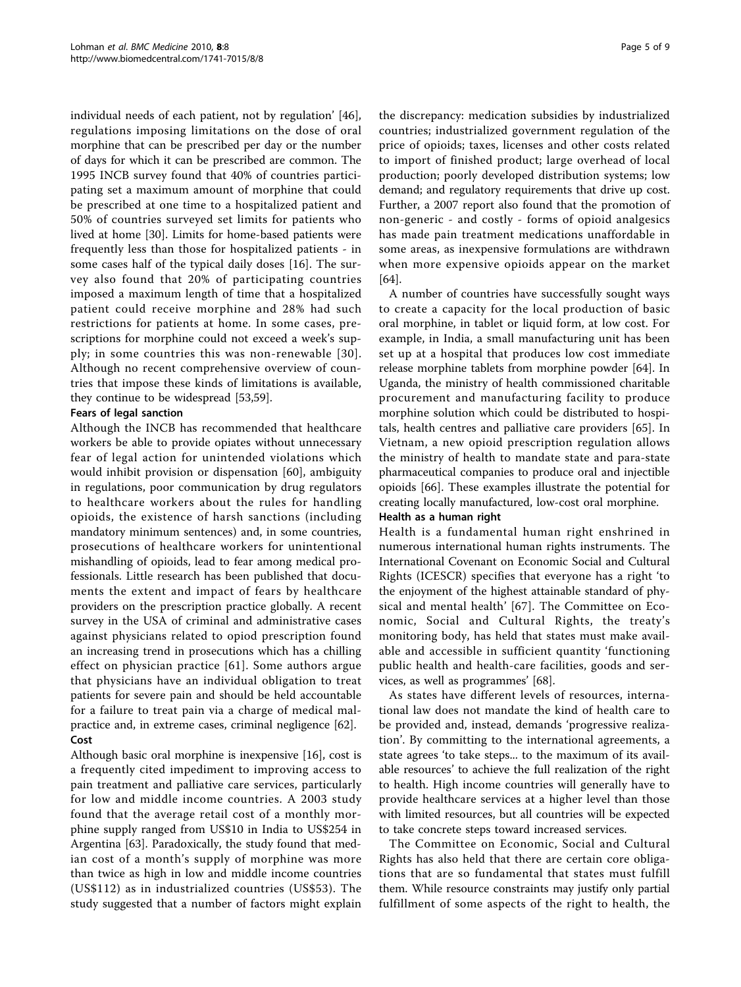individual needs of each patient, not by regulation' [\[46](#page-7-0)], regulations imposing limitations on the dose of oral morphine that can be prescribed per day or the number of days for which it can be prescribed are common. The 1995 INCB survey found that 40% of countries participating set a maximum amount of morphine that could be prescribed at one time to a hospitalized patient and 50% of countries surveyed set limits for patients who lived at home [[30\]](#page-7-0). Limits for home-based patients were frequently less than those for hospitalized patients - in some cases half of the typical daily doses [\[16](#page-7-0)]. The survey also found that 20% of participating countries imposed a maximum length of time that a hospitalized patient could receive morphine and 28% had such restrictions for patients at home. In some cases, prescriptions for morphine could not exceed a week's supply; in some countries this was non-renewable [[30\]](#page-7-0). Although no recent comprehensive overview of countries that impose these kinds of limitations is available, they continue to be widespread [\[53,59\]](#page-8-0).

# Fears of legal sanction

Although the INCB has recommended that healthcare workers be able to provide opiates without unnecessary fear of legal action for unintended violations which would inhibit provision or dispensation [\[60](#page-8-0)], ambiguity in regulations, poor communication by drug regulators to healthcare workers about the rules for handling opioids, the existence of harsh sanctions (including mandatory minimum sentences) and, in some countries, prosecutions of healthcare workers for unintentional mishandling of opioids, lead to fear among medical professionals. Little research has been published that documents the extent and impact of fears by healthcare providers on the prescription practice globally. A recent survey in the USA of criminal and administrative cases against physicians related to opiod prescription found an increasing trend in prosecutions which has a chilling effect on physician practice [[61](#page-8-0)]. Some authors argue that physicians have an individual obligation to treat patients for severe pain and should be held accountable for a failure to treat pain via a charge of medical malpractice and, in extreme cases, criminal negligence [[62](#page-8-0)]. Cost

Although basic oral morphine is inexpensive [\[16](#page-7-0)], cost is a frequently cited impediment to improving access to pain treatment and palliative care services, particularly for low and middle income countries. A 2003 study found that the average retail cost of a monthly morphine supply ranged from US\$10 in India to US\$254 in Argentina [[63\]](#page-8-0). Paradoxically, the study found that median cost of a month's supply of morphine was more than twice as high in low and middle income countries (US\$112) as in industrialized countries (US\$53). The study suggested that a number of factors might explain

the discrepancy: medication subsidies by industrialized countries; industrialized government regulation of the price of opioids; taxes, licenses and other costs related to import of finished product; large overhead of local production; poorly developed distribution systems; low demand; and regulatory requirements that drive up cost. Further, a 2007 report also found that the promotion of non-generic - and costly - forms of opioid analgesics has made pain treatment medications unaffordable in some areas, as inexpensive formulations are withdrawn when more expensive opioids appear on the market [[64\]](#page-8-0).

A number of countries have successfully sought ways to create a capacity for the local production of basic oral morphine, in tablet or liquid form, at low cost. For example, in India, a small manufacturing unit has been set up at a hospital that produces low cost immediate release morphine tablets from morphine powder [\[64](#page-8-0)]. In Uganda, the ministry of health commissioned charitable procurement and manufacturing facility to produce morphine solution which could be distributed to hospitals, health centres and palliative care providers [\[65](#page-8-0)]. In Vietnam, a new opioid prescription regulation allows the ministry of health to mandate state and para-state pharmaceutical companies to produce oral and injectible opioids [[66](#page-8-0)]. These examples illustrate the potential for creating locally manufactured, low-cost oral morphine.

## Health as a human right

Health is a fundamental human right enshrined in numerous international human rights instruments. The International Covenant on Economic Social and Cultural Rights (ICESCR) specifies that everyone has a right 'to the enjoyment of the highest attainable standard of physical and mental health' [[67](#page-8-0)]. The Committee on Economic, Social and Cultural Rights, the treaty's monitoring body, has held that states must make available and accessible in sufficient quantity 'functioning public health and health-care facilities, goods and services, as well as programmes' [\[68](#page-8-0)].

As states have different levels of resources, international law does not mandate the kind of health care to be provided and, instead, demands 'progressive realization'. By committing to the international agreements, a state agrees 'to take steps... to the maximum of its available resources' to achieve the full realization of the right to health. High income countries will generally have to provide healthcare services at a higher level than those with limited resources, but all countries will be expected to take concrete steps toward increased services.

The Committee on Economic, Social and Cultural Rights has also held that there are certain core obligations that are so fundamental that states must fulfill them. While resource constraints may justify only partial fulfillment of some aspects of the right to health, the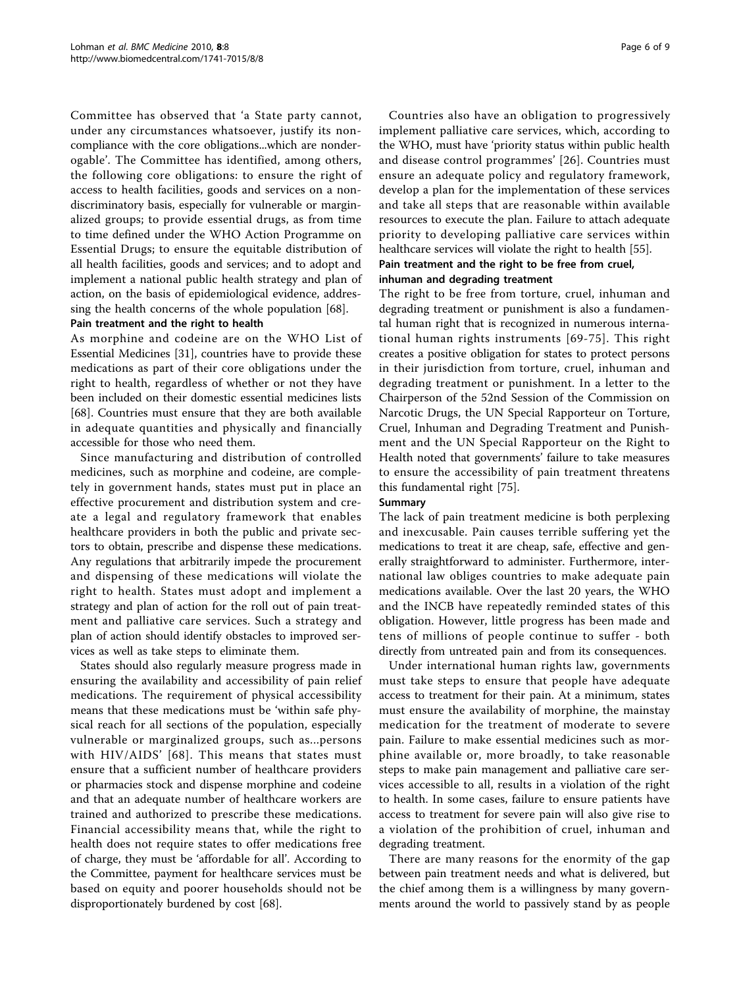Committee has observed that 'a State party cannot, under any circumstances whatsoever, justify its noncompliance with the core obligations...which are nonderogable'. The Committee has identified, among others, the following core obligations: to ensure the right of access to health facilities, goods and services on a nondiscriminatory basis, especially for vulnerable or marginalized groups; to provide essential drugs, as from time to time defined under the WHO Action Programme on Essential Drugs; to ensure the equitable distribution of all health facilities, goods and services; and to adopt and implement a national public health strategy and plan of action, on the basis of epidemiological evidence, addressing the health concerns of the whole population [\[68\]](#page-8-0).

#### Pain treatment and the right to health

As morphine and codeine are on the WHO List of Essential Medicines [\[31](#page-7-0)], countries have to provide these medications as part of their core obligations under the right to health, regardless of whether or not they have been included on their domestic essential medicines lists [[68\]](#page-8-0). Countries must ensure that they are both available in adequate quantities and physically and financially accessible for those who need them.

Since manufacturing and distribution of controlled medicines, such as morphine and codeine, are completely in government hands, states must put in place an effective procurement and distribution system and create a legal and regulatory framework that enables healthcare providers in both the public and private sectors to obtain, prescribe and dispense these medications. Any regulations that arbitrarily impede the procurement and dispensing of these medications will violate the right to health. States must adopt and implement a strategy and plan of action for the roll out of pain treatment and palliative care services. Such a strategy and plan of action should identify obstacles to improved services as well as take steps to eliminate them.

States should also regularly measure progress made in ensuring the availability and accessibility of pain relief medications. The requirement of physical accessibility means that these medications must be 'within safe physical reach for all sections of the population, especially vulnerable or marginalized groups, such as...persons with HIV/AIDS' [[68](#page-8-0)]. This means that states must ensure that a sufficient number of healthcare providers or pharmacies stock and dispense morphine and codeine and that an adequate number of healthcare workers are trained and authorized to prescribe these medications. Financial accessibility means that, while the right to health does not require states to offer medications free of charge, they must be 'affordable for all'. According to the Committee, payment for healthcare services must be based on equity and poorer households should not be disproportionately burdened by cost [[68](#page-8-0)].

Countries also have an obligation to progressively implement palliative care services, which, according to the WHO, must have 'priority status within public health and disease control programmes' [[26](#page-7-0)]. Countries must ensure an adequate policy and regulatory framework, develop a plan for the implementation of these services and take all steps that are reasonable within available resources to execute the plan. Failure to attach adequate priority to developing palliative care services within healthcare services will violate the right to health [\[55\]](#page-8-0). Pain treatment and the right to be free from cruel,

# inhuman and degrading treatment

The right to be free from torture, cruel, inhuman and degrading treatment or punishment is also a fundamental human right that is recognized in numerous international human rights instruments [[69](#page-8-0)-[75\]](#page-8-0). This right creates a positive obligation for states to protect persons in their jurisdiction from torture, cruel, inhuman and degrading treatment or punishment. In a letter to the Chairperson of the 52nd Session of the Commission on Narcotic Drugs, the UN Special Rapporteur on Torture, Cruel, Inhuman and Degrading Treatment and Punishment and the UN Special Rapporteur on the Right to Health noted that governments' failure to take measures to ensure the accessibility of pain treatment threatens this fundamental right [[75](#page-8-0)].

### Summary

The lack of pain treatment medicine is both perplexing and inexcusable. Pain causes terrible suffering yet the medications to treat it are cheap, safe, effective and generally straightforward to administer. Furthermore, international law obliges countries to make adequate pain medications available. Over the last 20 years, the WHO and the INCB have repeatedly reminded states of this obligation. However, little progress has been made and tens of millions of people continue to suffer - both directly from untreated pain and from its consequences.

Under international human rights law, governments must take steps to ensure that people have adequate access to treatment for their pain. At a minimum, states must ensure the availability of morphine, the mainstay medication for the treatment of moderate to severe pain. Failure to make essential medicines such as morphine available or, more broadly, to take reasonable steps to make pain management and palliative care services accessible to all, results in a violation of the right to health. In some cases, failure to ensure patients have access to treatment for severe pain will also give rise to a violation of the prohibition of cruel, inhuman and degrading treatment.

There are many reasons for the enormity of the gap between pain treatment needs and what is delivered, but the chief among them is a willingness by many governments around the world to passively stand by as people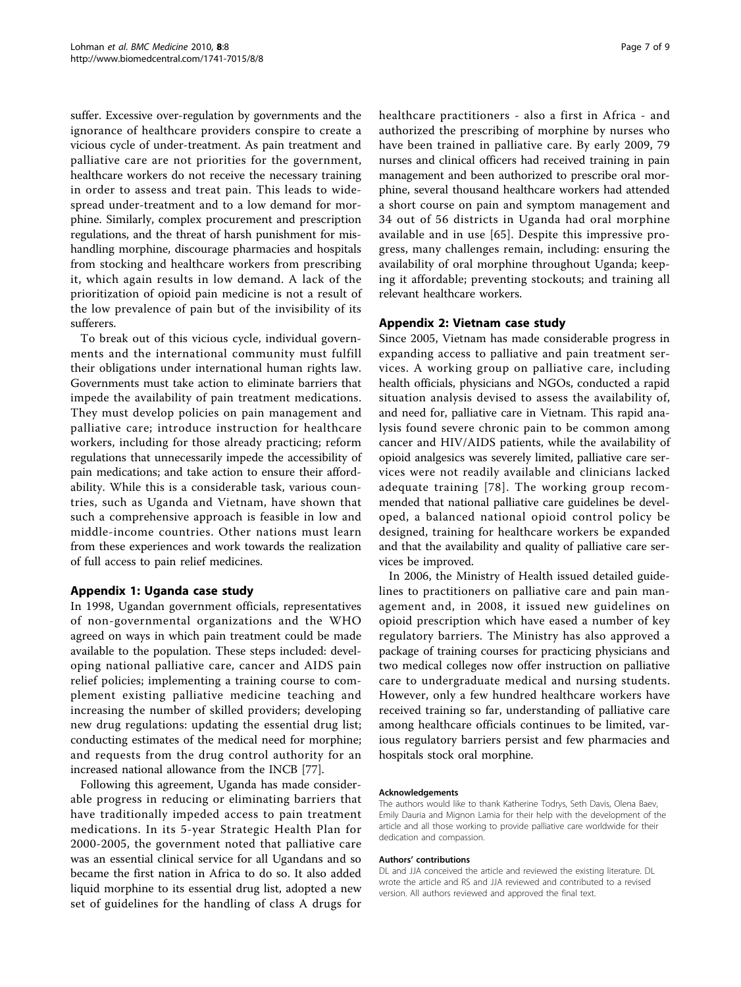suffer. Excessive over-regulation by governments and the ignorance of healthcare providers conspire to create a vicious cycle of under-treatment. As pain treatment and palliative care are not priorities for the government, healthcare workers do not receive the necessary training in order to assess and treat pain. This leads to widespread under-treatment and to a low demand for morphine. Similarly, complex procurement and prescription regulations, and the threat of harsh punishment for mishandling morphine, discourage pharmacies and hospitals from stocking and healthcare workers from prescribing it, which again results in low demand. A lack of the prioritization of opioid pain medicine is not a result of the low prevalence of pain but of the invisibility of its sufferers.

To break out of this vicious cycle, individual governments and the international community must fulfill their obligations under international human rights law. Governments must take action to eliminate barriers that impede the availability of pain treatment medications. They must develop policies on pain management and palliative care; introduce instruction for healthcare workers, including for those already practicing; reform regulations that unnecessarily impede the accessibility of pain medications; and take action to ensure their affordability. While this is a considerable task, various countries, such as Uganda and Vietnam, have shown that such a comprehensive approach is feasible in low and middle-income countries. Other nations must learn from these experiences and work towards the realization of full access to pain relief medicines.

# Appendix 1: Uganda case study

In 1998, Ugandan government officials, representatives of non-governmental organizations and the WHO agreed on ways in which pain treatment could be made available to the population. These steps included: developing national palliative care, cancer and AIDS pain relief policies; implementing a training course to complement existing palliative medicine teaching and increasing the number of skilled providers; developing new drug regulations: updating the essential drug list; conducting estimates of the medical need for morphine; and requests from the drug control authority for an increased national allowance from the INCB [[77\]](#page-8-0).

Following this agreement, Uganda has made considerable progress in reducing or eliminating barriers that have traditionally impeded access to pain treatment medications. In its 5-year Strategic Health Plan for 2000-2005, the government noted that palliative care was an essential clinical service for all Ugandans and so became the first nation in Africa to do so. It also added liquid morphine to its essential drug list, adopted a new set of guidelines for the handling of class A drugs for healthcare practitioners - also a first in Africa - and authorized the prescribing of morphine by nurses who have been trained in palliative care. By early 2009, 79 nurses and clinical officers had received training in pain management and been authorized to prescribe oral morphine, several thousand healthcare workers had attended a short course on pain and symptom management and 34 out of 56 districts in Uganda had oral morphine available and in use [[65](#page-8-0)]. Despite this impressive progress, many challenges remain, including: ensuring the availability of oral morphine throughout Uganda; keeping it affordable; preventing stockouts; and training all relevant healthcare workers.

## Appendix 2: Vietnam case study

Since 2005, Vietnam has made considerable progress in expanding access to palliative and pain treatment services. A working group on palliative care, including health officials, physicians and NGOs, conducted a rapid situation analysis devised to assess the availability of, and need for, palliative care in Vietnam. This rapid analysis found severe chronic pain to be common among cancer and HIV/AIDS patients, while the availability of opioid analgesics was severely limited, palliative care services were not readily available and clinicians lacked adequate training [[78](#page-8-0)]. The working group recommended that national palliative care guidelines be developed, a balanced national opioid control policy be designed, training for healthcare workers be expanded and that the availability and quality of palliative care services be improved.

In 2006, the Ministry of Health issued detailed guidelines to practitioners on palliative care and pain management and, in 2008, it issued new guidelines on opioid prescription which have eased a number of key regulatory barriers. The Ministry has also approved a package of training courses for practicing physicians and two medical colleges now offer instruction on palliative care to undergraduate medical and nursing students. However, only a few hundred healthcare workers have received training so far, understanding of palliative care among healthcare officials continues to be limited, various regulatory barriers persist and few pharmacies and hospitals stock oral morphine.

#### Acknowledgements

The authors would like to thank Katherine Todrys, Seth Davis, Olena Baev, Emily Dauria and Mignon Lamia for their help with the development of the article and all those working to provide palliative care worldwide for their dedication and compassion.

#### Authors' contributions

DL and JJA conceived the article and reviewed the existing literature. DL wrote the article and RS and JJA reviewed and contributed to a revised version. All authors reviewed and approved the final text.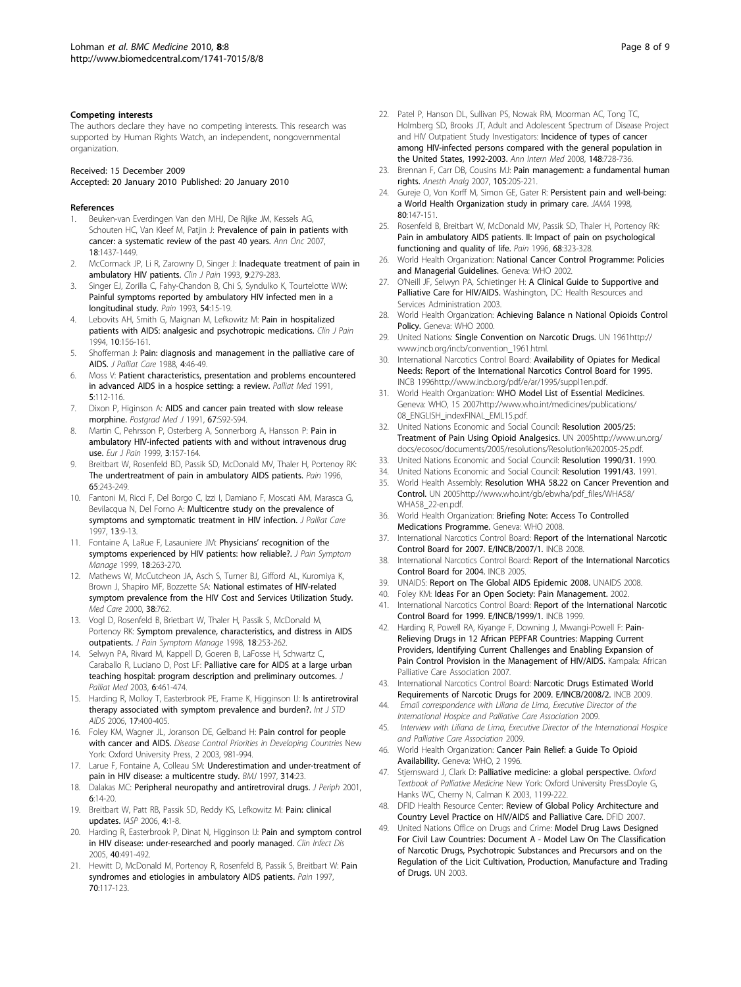#### <span id="page-7-0"></span>Competing interests

The authors declare they have no competing interests. This research was supported by Human Rights Watch, an independent, nongovernmental organization.

#### Received: 15 December 2009

#### Accepted: 20 January 2010 Published: 20 January 2010

#### **References**

- 1. Beuken-van Everdingen Van den MHJ, De Rijke JM, Kessels AG, Schouten HC, Van Kleef M, Patjin J: Prevalence of pain in patients with cancer: a systematic review of the past 40 years. Ann Onc 2007 18:1437-1449.
- 2. McCormack JP, Li R, Zarowny D, Singer J: [Inadequate treatment of pain in](http://www.ncbi.nlm.nih.gov/pubmed/8118093?dopt=Abstract) [ambulatory HIV patients.](http://www.ncbi.nlm.nih.gov/pubmed/8118093?dopt=Abstract) Clin J Pain 1993, 9:279-283.
- 3. Singer EJ, Zorilla C, Fahy-Chandon B, Chi S, Syndulko K, Tourtelotte WW: [Painful symptoms reported by ambulatory HIV infected men in a](http://www.ncbi.nlm.nih.gov/pubmed/8378098?dopt=Abstract) [longitudinal study.](http://www.ncbi.nlm.nih.gov/pubmed/8378098?dopt=Abstract) Pain 1993, 54:15-19.
- 4. Lebovits AH, Smith G, Maignan M, Lefkowitz M: [Pain in hospitalized](http://www.ncbi.nlm.nih.gov/pubmed/8075469?dopt=Abstract) [patients with AIDS: analgesic and psychotropic medications.](http://www.ncbi.nlm.nih.gov/pubmed/8075469?dopt=Abstract) Clin J Pain 1994, 10:156-161.
- 5. Shofferman J: [Pain: diagnosis and management in the palliative care of](http://www.ncbi.nlm.nih.gov/pubmed/2463359?dopt=Abstract) [AIDS.](http://www.ncbi.nlm.nih.gov/pubmed/2463359?dopt=Abstract) J Palliat Care 1988, 4:46-49.
- Moss V: Patient characteristics, presentation and problems encountered in advanced AIDS in a hospice setting: a review. Palliat Med 1991, 5:112-116.
- 7. Dixon P, Higinson A: [AIDS and cancer pain treated with slow release](http://www.ncbi.nlm.nih.gov/pubmed/1758826?dopt=Abstract) [morphine.](http://www.ncbi.nlm.nih.gov/pubmed/1758826?dopt=Abstract) Postgrad Med J 1991, 67:S92-S94.
- Martin C, Pehrsson P, Osterberg A, Sonnerborg A, Hansson P: [Pain in](http://www.ncbi.nlm.nih.gov/pubmed/10700345?dopt=Abstract) [ambulatory HIV-infected patients with and without intravenous drug](http://www.ncbi.nlm.nih.gov/pubmed/10700345?dopt=Abstract) [use.](http://www.ncbi.nlm.nih.gov/pubmed/10700345?dopt=Abstract) Eur J Pain 1999, 3:157-164.
- 9. Breitbart W, Rosenfeld BD, Passik SD, McDonald MV, Thaler H, Portenoy RK: [The undertreatment of pain in ambulatory AIDS patients.](http://www.ncbi.nlm.nih.gov/pubmed/8826513?dopt=Abstract) Pain 1996, 65:243-249.
- 10. Fantoni M, Ricci F, Del Borgo C, Izzi I, Damiano F, Moscati AM, Marasca G, Bevilacqua N, Del Forno A: [Multicentre study on the prevalence of](http://www.ncbi.nlm.nih.gov/pubmed/9231582?dopt=Abstract) [symptoms and symptomatic treatment in HIV infection.](http://www.ncbi.nlm.nih.gov/pubmed/9231582?dopt=Abstract) J Palliat Care 1997, 13:9-13.
- 11. Fontaine A, LaRue F, Lasauniere JM: Physicians' [recognition of the](http://www.ncbi.nlm.nih.gov/pubmed/10534966?dopt=Abstract) [symptoms experienced by HIV patients: how reliable?.](http://www.ncbi.nlm.nih.gov/pubmed/10534966?dopt=Abstract) J Pain Symptom Manage 1999, 18:263-270.
- 12. Mathews W, McCutcheon JA, Asch S, Turner BJ, Gifford AL, Kuromiya K, Brown J, Shapiro MF, Bozzette SA: National estimates of HIV-related symptom prevalence from the HIV Cost and Services Utilization Study. Med Care 2000, 38:762.
- 13. Vogl D, Rosenfeld B, Brietbart W, Thaler H, Passik S, McDonald M, Portenoy RK: Symptom prevalence, characteristics, and distress in AIDS outpatients. J Pain Symptom Manage 1998, 18:253-262.
- 14. Selwyn PA, Rivard M, Kappell D, Goeren B, LaFosse H, Schwartz C, Caraballo R, Luciano D, Post LF: [Palliative care for AIDS at a large urban](http://www.ncbi.nlm.nih.gov/pubmed/14509496?dopt=Abstract) [teaching hospital: program description and preliminary outcomes.](http://www.ncbi.nlm.nih.gov/pubmed/14509496?dopt=Abstract) J Palliat Med 2003, 6:461-474.
- 15. Harding R, Molloy T, Easterbrook PE, Frame K, Higginson IJ: [Is antiretroviral](http://www.ncbi.nlm.nih.gov/pubmed/16734963?dopt=Abstract) [therapy associated with symptom prevalence and burden?.](http://www.ncbi.nlm.nih.gov/pubmed/16734963?dopt=Abstract) Int J STD AIDS 2006, 17:400-405.
- 16. Foley KM, Wagner JL, Joranson DE, Gelband H: Pain control for people with cancer and AIDS. Disease Control Priorities in Developing Countries New York: Oxford University Press, 2 2003, 981-994.
- 17. Larue F, Fontaine A, Colleau SM: [Underestimation and under-treatment of](http://www.ncbi.nlm.nih.gov/pubmed/9001475?dopt=Abstract) [pain in HIV disease: a multicentre study.](http://www.ncbi.nlm.nih.gov/pubmed/9001475?dopt=Abstract) BMJ 1997, 314:23.
- 18. Dalakas MC: Peripheral neuropathy and antiretroviral drugs. J Periph 2001, 6:14-20.
- 19. Breitbart W, Patt RB, Passik SD, Reddy KS, Lefkowitz M: Pain: clinical updates. IASP 2006, 4:1-8.
- 20. Harding R, Easterbrook P, Dinat N, Higginson IJ: [Pain and symptom control](http://www.ncbi.nlm.nih.gov/pubmed/15668879?dopt=Abstract) [in HIV disease: under-researched and poorly managed.](http://www.ncbi.nlm.nih.gov/pubmed/15668879?dopt=Abstract) Clin Infect Dis 2005, 40:491-492.
- 21. Hewitt D, McDonald M, Portenoy R, Rosenfeld B, Passik S, Breitbart W: [Pain](http://www.ncbi.nlm.nih.gov/pubmed/9150284?dopt=Abstract) [syndromes and etiologies in ambulatory AIDS patients.](http://www.ncbi.nlm.nih.gov/pubmed/9150284?dopt=Abstract) Pain 1997, 70:117-123.
- 22. Patel P, Hanson DL, Sullivan PS, Nowak RM, Moorman AC, Tong TC, Holmberg SD, Brooks JT, Adult and Adolescent Spectrum of Disease Project and HIV Outpatient Study Investigators: [Incidence of types of cancer](http://www.ncbi.nlm.nih.gov/pubmed/18490686?dopt=Abstract) [among HIV-infected persons compared with the general population in](http://www.ncbi.nlm.nih.gov/pubmed/18490686?dopt=Abstract) [the United States, 1992-2003.](http://www.ncbi.nlm.nih.gov/pubmed/18490686?dopt=Abstract) Ann Intern Med 2008, 148:728-736.
- 23. Brennan F, Carr DB, Cousins MJ: [Pain management: a fundamental human](http://www.ncbi.nlm.nih.gov/pubmed/17578977?dopt=Abstract) [rights.](http://www.ncbi.nlm.nih.gov/pubmed/17578977?dopt=Abstract) Anesth Analg 2007, 105:205-221.
- 24. Gureje O, Von Korff M, Simon GE, Gater R: Persistent pain and well-being: a World Health Organization study in primary care. JAMA 1998, 80:147-151.
- 25. Rosenfeld B, Breitbart W, McDonald MV, Passik SD, Thaler H, Portenoy RK: [Pain in ambulatory AIDS patients. II: Impact of pain on psychological](http://www.ncbi.nlm.nih.gov/pubmed/9121821?dopt=Abstract) [functioning and quality of life.](http://www.ncbi.nlm.nih.gov/pubmed/9121821?dopt=Abstract) Pain 1996, 68:323-328.
- 26. World Health Organization: National Cancer Control Programme: Policies and Managerial Guidelines. Geneva: WHO 2002.
- 27. O'Neill JF, Selwyn PA, Schietinger H: A Clinical Guide to Supportive and Palliative Care for HIV/AIDS. Washington, DC: Health Resources and Services Administration 2003.
- 28. World Health Organization: Achieving Balance n National Opioids Control Policy. Geneva: WHO 2000.
- 29. United Nations: Single Convention on Narcotic Drugs. UN 196[1http://](http://www.incb.org/incb/convention_1961.html) [www.incb.org/incb/convention\\_1961.html.](http://www.incb.org/incb/convention_1961.html)
- 30. International Narcotics Control Board: Availability of Opiates for Medical Needs: Report of the International Narcotics Control Board for 1995. INCB 199[6http://www.incb.org/pdf/e/ar/1995/suppl1en.pdf](http://www.incb.org/pdf/e/ar/1995/suppl1en.pdf).
- 31. World Health Organization: WHO Model List of Essential Medicines. Geneva: WHO, 15 2007[http://www.who.int/medicines/publications/](http://www.who.int/medicines/publications/08_ENGLISH_indexFINAL_EML15.pdf) [08\\_ENGLISH\\_indexFINAL\\_EML15.pdf](http://www.who.int/medicines/publications/08_ENGLISH_indexFINAL_EML15.pdf).
- 32. United Nations Economic and Social Council: Resolution 2005/25: Treatment of Pain Using Opioid Analgesics. UN 200[5http://www.un.org/](http://www.un.org/docs/ecosoc/documents/2005/resolutions/Resolution%202005-25.pdf) [docs/ecosoc/documents/2005/resolutions/Resolution%202005-25.pdf](http://www.un.org/docs/ecosoc/documents/2005/resolutions/Resolution%202005-25.pdf).
- 33. United Nations Economic and Social Council: Resolution 1990/31. 1990.
- 34. United Nations Economic and Social Council: Resolution 1991/43. 1991.
- 35. World Health Assembly: Resolution WHA 58.22 on Cancer Prevention and Control. UN 200[5http://www.who.int/gb/ebwha/pdf\\_files/WHA58/](http://www.who.int/gb/ebwha/pdf_files/WHA58/WHA58_22-en.pdf) [WHA58\\_22-en.pdf](http://www.who.int/gb/ebwha/pdf_files/WHA58/WHA58_22-en.pdf).
- 36. World Health Organization: Briefing Note: Access To Controlled Medications Programme. Geneva: WHO 2008.
- 37. International Narcotics Control Board: Report of the International Narcotic Control Board for 2007. E/INCB/2007/1. INCB 2008.
- 38. International Narcotics Control Board: Report of the International Narcotics Control Board for 2004. INCB 2005.
- 39. UNAIDS: Report on The Global AIDS Epidemic 2008. UNAIDS 2008.
- 40. Foley KM: Ideas For an Open Society: Pain Management. 2002.
- 41. International Narcotics Control Board: Report of the International Narcotic Control Board for 1999. E/INCB/1999/1. INCB 1999.
- 42. Harding R, Powell RA, Kiyange F, Downing J, Mwangi-Powell F: Pain-Relieving Drugs in 12 African PEPFAR Countries: Mapping Current Providers, Identifying Current Challenges and Enabling Expansion of Pain Control Provision in the Management of HIV/AIDS. Kampala: African Palliative Care Association 2007.
- 43. International Narcotics Control Board: Narcotic Drugs Estimated World Requirements of Narcotic Drugs for 2009. E/INCB/2008/2. INCB 2009.
- 44. Email correspondence with Liliana de Lima, Executive Director of the International Hospice and Palliative Care Association 2009.
- 45. Interview with Liliana de Lima, Executive Director of the International Hospice and Palliative Care Association 2009.
- 46. World Health Organization: Cancer Pain Relief: a Guide To Opioid Availability. Geneva: WHO, 2 1996.
- 47. Stjernsward J, Clark D: Palliative medicine: a global perspective. Oxford Textbook of Palliative Medicine New York: Oxford University PressDoyle G, Hanks WC, Cherny N, Calman K 2003, 1199-222.
- 48. DFID Health Resource Center: Review of Global Policy Architecture and Country Level Practice on HIV/AIDS and Palliative Care. DFID 2007.
- 49. United Nations Office on Drugs and Crime: Model Drug Laws Designed For Civil Law Countries: Document A - Model Law On The Classification of Narcotic Drugs, Psychotropic Substances and Precursors and on the Regulation of the Licit Cultivation, Production, Manufacture and Trading of Drugs. UN 2003.